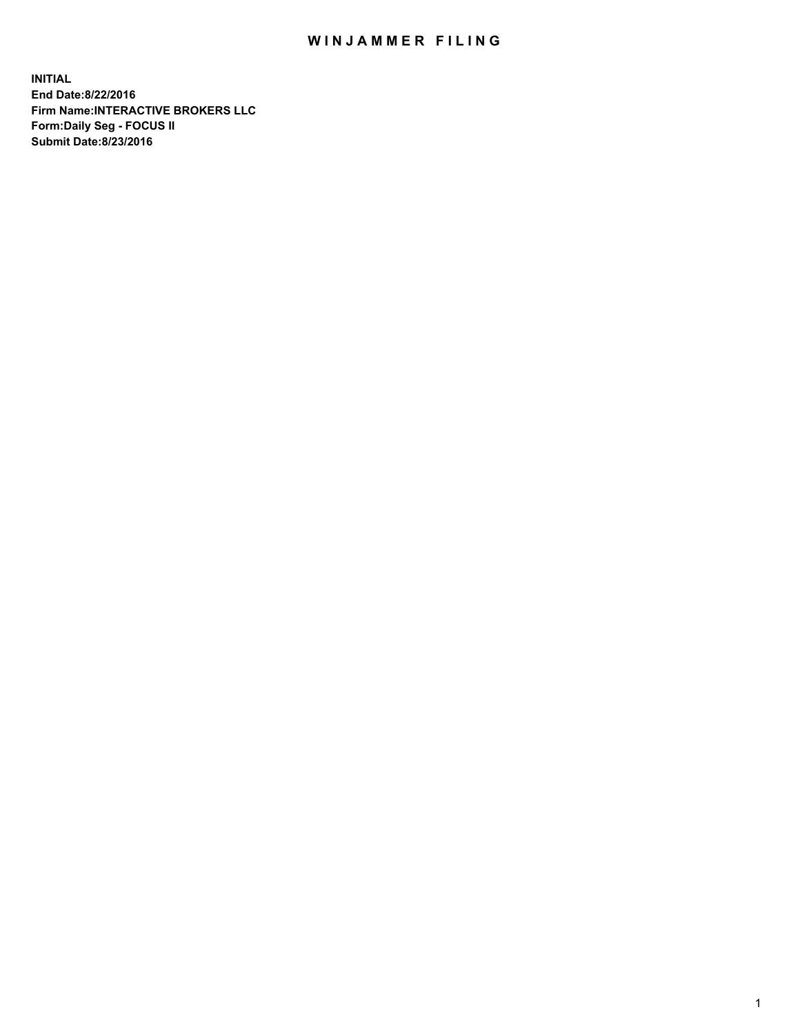## WIN JAMMER FILING

**INITIAL End Date:8/22/2016 Firm Name:INTERACTIVE BROKERS LLC Form:Daily Seg - FOCUS II Submit Date:8/23/2016**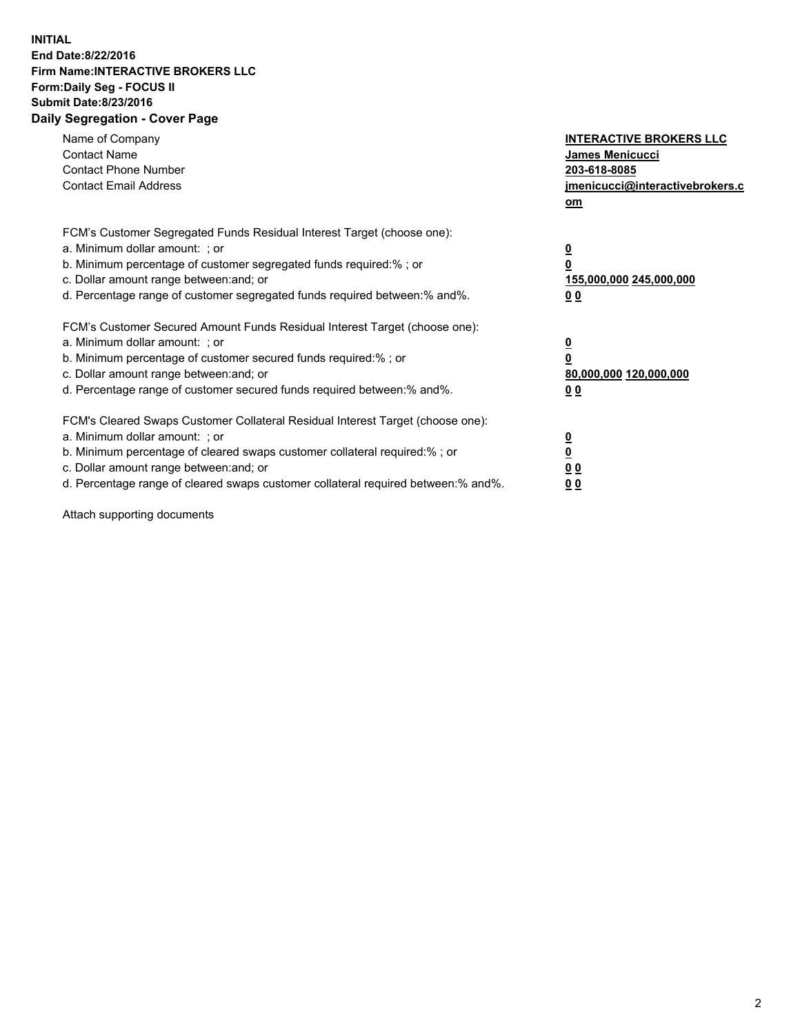## **INITIAL End Date:8/22/2016 Firm Name:INTERACTIVE BROKERS LLC Form:Daily Seg - FOCUS II Submit Date:8/23/2016 Daily Segregation - Cover Page**

| Name of Company<br><b>Contact Name</b><br><b>Contact Phone Number</b><br><b>Contact Email Address</b>                                                                                                                                                                                                                          | <b>INTERACTIVE BROKERS LLC</b><br>James Menicucci<br>203-618-8085<br>jmenicucci@interactivebrokers.c<br>om |
|--------------------------------------------------------------------------------------------------------------------------------------------------------------------------------------------------------------------------------------------------------------------------------------------------------------------------------|------------------------------------------------------------------------------------------------------------|
| FCM's Customer Segregated Funds Residual Interest Target (choose one):<br>a. Minimum dollar amount: ; or<br>b. Minimum percentage of customer segregated funds required:%; or<br>c. Dollar amount range between: and; or<br>d. Percentage range of customer segregated funds required between:% and%.                          | $\overline{\mathbf{0}}$<br>0<br>155,000,000 245,000,000<br>0 <sub>0</sub>                                  |
| FCM's Customer Secured Amount Funds Residual Interest Target (choose one):<br>a. Minimum dollar amount: ; or<br>b. Minimum percentage of customer secured funds required:%; or<br>c. Dollar amount range between: and; or<br>d. Percentage range of customer secured funds required between:% and%.                            | $\overline{\mathbf{0}}$<br>$\overline{\mathbf{0}}$<br>80,000,000 120,000,000<br>00                         |
| FCM's Cleared Swaps Customer Collateral Residual Interest Target (choose one):<br>a. Minimum dollar amount: ; or<br>b. Minimum percentage of cleared swaps customer collateral required:% ; or<br>c. Dollar amount range between: and; or<br>d. Percentage range of cleared swaps customer collateral required between:% and%. | $\overline{\mathbf{0}}$<br>$\overline{\mathbf{0}}$<br>0 <sub>0</sub><br><u>00</u>                          |

Attach supporting documents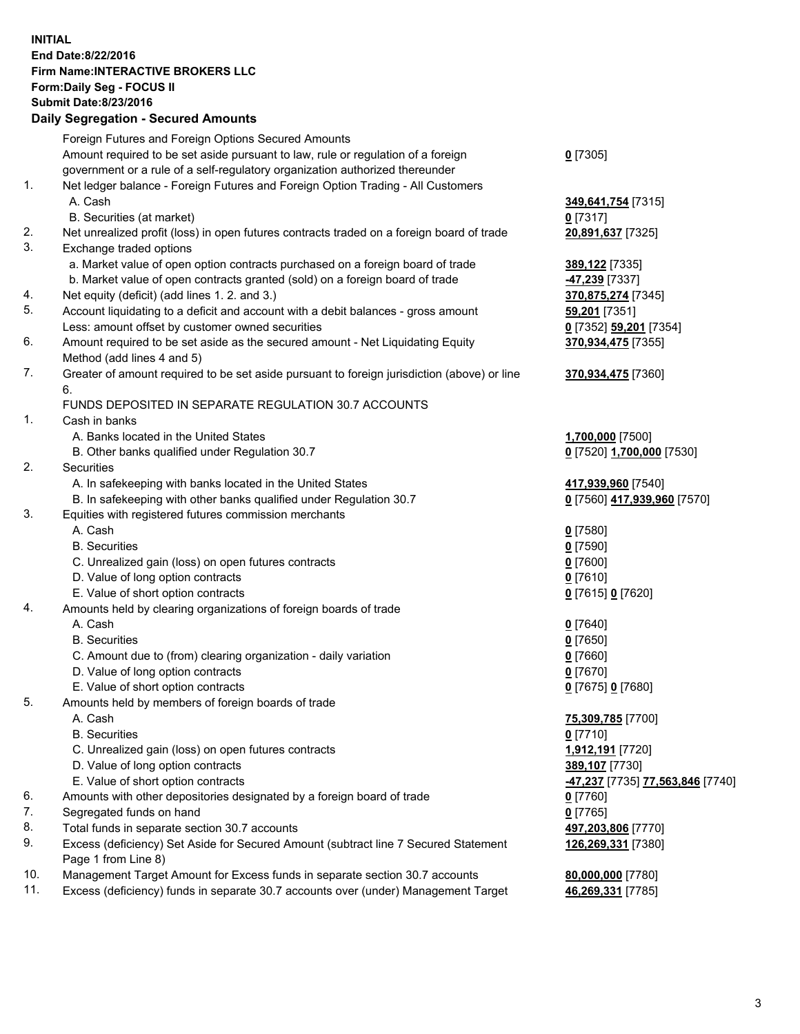## **INITIAL End Date:8/22/2016 Firm Name:INTERACTIVE BROKERS LLC Form:Daily Seg - FOCUS II Submit Date:8/23/2016 Daily Segregation - Secured Amounts**

|     | Daily Jegregation - Jeculed Aniounts                                                                       |                                  |
|-----|------------------------------------------------------------------------------------------------------------|----------------------------------|
|     | Foreign Futures and Foreign Options Secured Amounts                                                        |                                  |
|     | Amount required to be set aside pursuant to law, rule or regulation of a foreign                           | $0$ [7305]                       |
|     | government or a rule of a self-regulatory organization authorized thereunder                               |                                  |
| 1.  | Net ledger balance - Foreign Futures and Foreign Option Trading - All Customers                            |                                  |
|     | A. Cash                                                                                                    | 349,641,754 [7315]               |
|     | B. Securities (at market)                                                                                  | 0 [7317]                         |
| 2.  | Net unrealized profit (loss) in open futures contracts traded on a foreign board of trade                  | 20,891,637 [7325]                |
| 3.  | Exchange traded options                                                                                    |                                  |
|     | a. Market value of open option contracts purchased on a foreign board of trade                             | <b>389,122</b> [7335]            |
|     | b. Market value of open contracts granted (sold) on a foreign board of trade                               | 47,239 [7337]                    |
| 4.  | Net equity (deficit) (add lines 1.2. and 3.)                                                               | 370,875,274 [7345]               |
| 5.  | Account liquidating to a deficit and account with a debit balances - gross amount                          | 59,201 [7351]                    |
|     | Less: amount offset by customer owned securities                                                           | 0 [7352] 59,201 [7354]           |
| 6.  | Amount required to be set aside as the secured amount - Net Liquidating Equity                             | 370,934,475 [7355]               |
|     | Method (add lines 4 and 5)                                                                                 |                                  |
| 7.  | Greater of amount required to be set aside pursuant to foreign jurisdiction (above) or line                | 370,934,475 [7360]               |
|     | 6.                                                                                                         |                                  |
|     | FUNDS DEPOSITED IN SEPARATE REGULATION 30.7 ACCOUNTS                                                       |                                  |
| 1.  | Cash in banks                                                                                              |                                  |
|     | A. Banks located in the United States                                                                      | 1,700,000 [7500]                 |
|     | B. Other banks qualified under Regulation 30.7                                                             | 0 [7520] 1,700,000 [7530]        |
| 2.  | Securities                                                                                                 |                                  |
|     | A. In safekeeping with banks located in the United States                                                  | 417,939,960 [7540]               |
|     | B. In safekeeping with other banks qualified under Regulation 30.7                                         | 0 [7560] 417,939,960 [7570]      |
| 3.  | Equities with registered futures commission merchants                                                      |                                  |
|     | A. Cash                                                                                                    | $0$ [7580]                       |
|     | <b>B.</b> Securities                                                                                       | $0$ [7590]                       |
|     | C. Unrealized gain (loss) on open futures contracts                                                        | $0$ [7600]                       |
|     | D. Value of long option contracts                                                                          | $0$ [7610]                       |
|     | E. Value of short option contracts                                                                         | 0 [7615] 0 [7620]                |
| 4.  | Amounts held by clearing organizations of foreign boards of trade                                          |                                  |
|     | A. Cash                                                                                                    | $0$ [7640]                       |
|     | <b>B.</b> Securities                                                                                       | $0$ [7650]                       |
|     | C. Amount due to (from) clearing organization - daily variation                                            | $0$ [7660]                       |
|     | D. Value of long option contracts                                                                          | $0$ [7670]                       |
|     | E. Value of short option contracts                                                                         | 0 [7675] 0 [7680]                |
| 5.  | Amounts held by members of foreign boards of trade                                                         |                                  |
|     | A. Cash                                                                                                    | 75,309,785 [7700]                |
|     | <b>B.</b> Securities                                                                                       | $0$ [7710]                       |
|     | C. Unrealized gain (loss) on open futures contracts                                                        | 1,912,191 [7720]                 |
|     | D. Value of long option contracts                                                                          | 389,107 [7730]                   |
|     | E. Value of short option contracts                                                                         | -47,237 [7735] 77,563,846 [7740] |
| 6.  | Amounts with other depositories designated by a foreign board of trade                                     | 0 [7760]                         |
| 7.  | Segregated funds on hand                                                                                   | $0$ [7765]                       |
| 8.  | Total funds in separate section 30.7 accounts                                                              | 497,203,806 [7770]               |
| 9.  | Excess (deficiency) Set Aside for Secured Amount (subtract line 7 Secured Statement<br>Page 1 from Line 8) | 126,269,331 [7380]               |
| 10. | Management Target Amount for Excess funds in separate section 30.7 accounts                                | 80,000,000 [7780]                |
| 11. | Excess (deficiency) funds in separate 30.7 accounts over (under) Management Target                         | 46,269,331 [7785]                |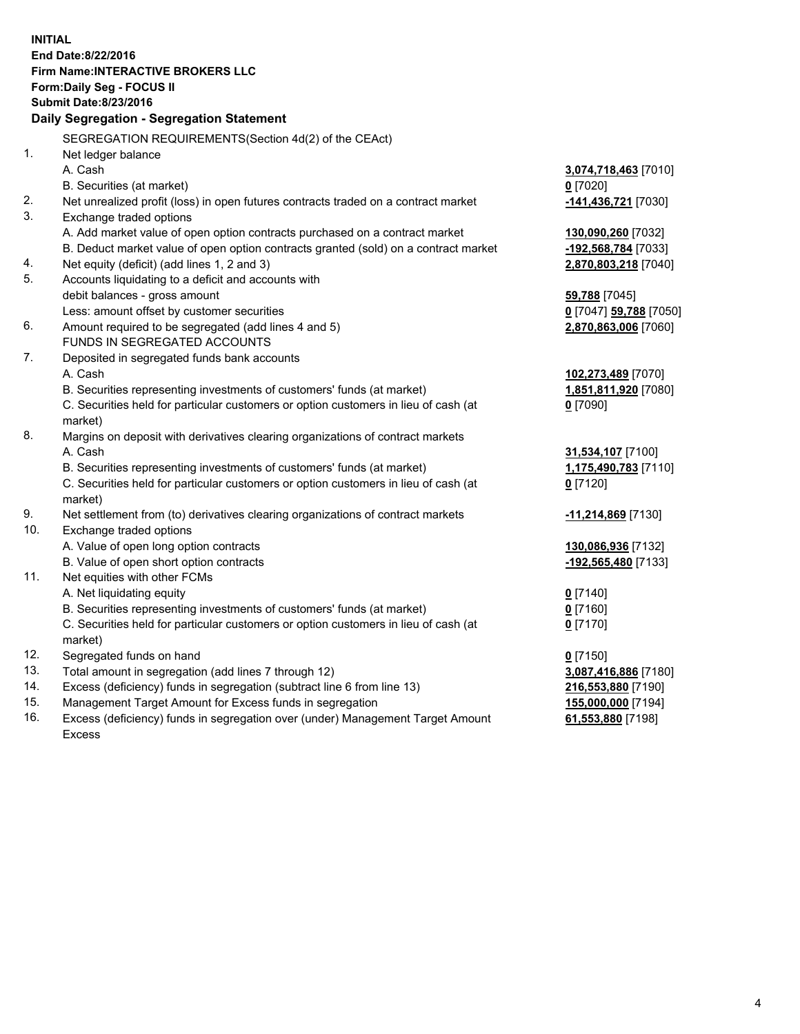**INITIAL End Date:8/22/2016 Firm Name:INTERACTIVE BROKERS LLC Form:Daily Seg - FOCUS II Submit Date:8/23/2016 Daily Segregation - Segregation Statement** SEGREGATION REQUIREMENTS(Section 4d(2) of the CEAct) 1. Net ledger balance A. Cash **3,074,718,463** [7010] B. Securities (at market) **0** [7020] 2. Net unrealized profit (loss) in open futures contracts traded on a contract market **-141,436,721** [7030] 3. Exchange traded options A. Add market value of open option contracts purchased on a contract market **130,090,260** [7032] B. Deduct market value of open option contracts granted (sold) on a contract market **-192,568,784** [7033] 4. Net equity (deficit) (add lines 1, 2 and 3) **2,870,803,218** [7040] 5. Accounts liquidating to a deficit and accounts with debit balances - gross amount **59,788** [7045] Less: amount offset by customer securities **0** [7047] **59,788** [7050] 6. Amount required to be segregated (add lines 4 and 5) **2,870,863,006** [7060] FUNDS IN SEGREGATED ACCOUNTS 7. Deposited in segregated funds bank accounts A. Cash **102,273,489** [7070] B. Securities representing investments of customers' funds (at market) **1,851,811,920** [7080] C. Securities held for particular customers or option customers in lieu of cash (at market) **0** [7090] 8. Margins on deposit with derivatives clearing organizations of contract markets A. Cash **31,534,107** [7100] B. Securities representing investments of customers' funds (at market) **1,175,490,783** [7110] C. Securities held for particular customers or option customers in lieu of cash (at market) **0** [7120] 9. Net settlement from (to) derivatives clearing organizations of contract markets **-11,214,869** [7130] 10. Exchange traded options A. Value of open long option contracts **130,086,936** [7132] B. Value of open short option contracts **-192,565,480** [7133] 11. Net equities with other FCMs A. Net liquidating equity **0** [7140] B. Securities representing investments of customers' funds (at market) **0** [7160] C. Securities held for particular customers or option customers in lieu of cash (at market) **0** [7170] 12. Segregated funds on hand **0** [7150] 13. Total amount in segregation (add lines 7 through 12) **3,087,416,886** [7180] 14. Excess (deficiency) funds in segregation (subtract line 6 from line 13) **216,553,880** [7190] 15. Management Target Amount for Excess funds in segregation **155,000,000** [7194] 16. Excess (deficiency) funds in segregation over (under) Management Target Amount **61,553,880** [7198]

Excess